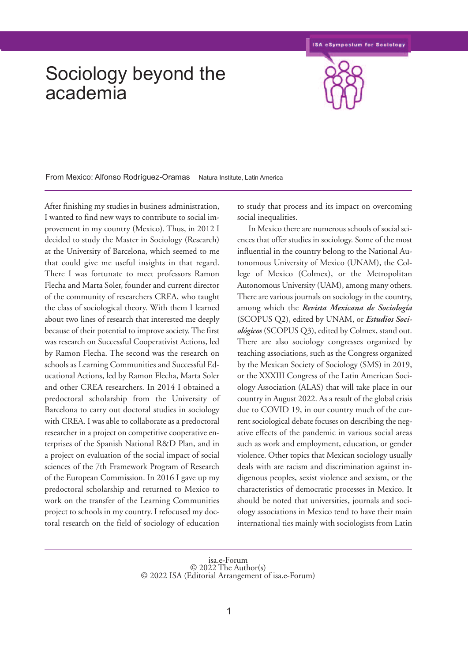## Sociology beyond the academia



From Mexico: Alfonso Rodríguez-Oramas Natura Institute, Latin America

After finishing my studies in business administration, I wanted to find new ways to contribute to social improvement in my country (Mexico). Thus, in 2012 I decided to study the Master in Sociology (Research) at the University of Barcelona, which seemed to me that could give me useful insights in that regard. There I was fortunate to meet professors Ramon Flecha and Marta Soler, founder and current director of the community of researchers CREA, who taught the class of sociological theory. With them I learned about two lines of research that interested me deeply because of their potential to improve society.The first was research on Successful Cooperativist Actions, led by Ramon Flecha. The second was the research on schools as Learning Communities and Successful Educational Actions, led by Ramon Flecha, Marta Soler and other CREA researchers. In 2014 I obtained a predoctoral scholarship from the University of Barcelona to carry out doctoral studies in sociology with CREA. I was able to collaborate as a predoctoral researcher in a project on competitive cooperative enterprises of the Spanish National R&D Plan, and in a project on evaluation of the social impact of social sciences of the 7th Framework Program of Research of the European Commission. In 2016 I gave up my predoctoral scholarship and returned to Mexico to work on the transfer of the Learning Communities project to schools in my country. I refocused my doctoral research on the field of sociology of education

to study that process and its impact on overcoming social inequalities.

In Mexico there are numerous schools of social sciences that offer studies in sociology. Some of the most influential in the country belong to the National Autonomous University of Mexico (UNAM), the College of Mexico (Colmex), or the Metropolitan Autonomous University (UAM), among many others. There are various journals on sociology in the country, among which the *Revista Mexicana de Sociología* (SCOPUS Q2), edited by UNAM, or *Estudios Sociológicos* (SCOPUS Q3), edited by Colmex, stand out. There are also sociology congresses organized by teaching associations, such as the Congress organized by the Mexican Society of Sociology (SMS) in 2019, or the XXXIII Congress of the Latin American Sociology Association (ALAS) that will take place in our country in August 2022. As a result of the global crisis due to COVID 19, in our country much of the current sociological debate focuses on describing the negative effects of the pandemic in various social areas such as work and employment, education, or gender violence. Other topics that Mexican sociology usually deals with are racism and discrimination against indigenous peoples, sexist violence and sexism, or the characteristics of democratic processes in Mexico. It should be noted that universities, journals and sociology associations in Mexico tend to have their main international ties mainly with sociologists from Latin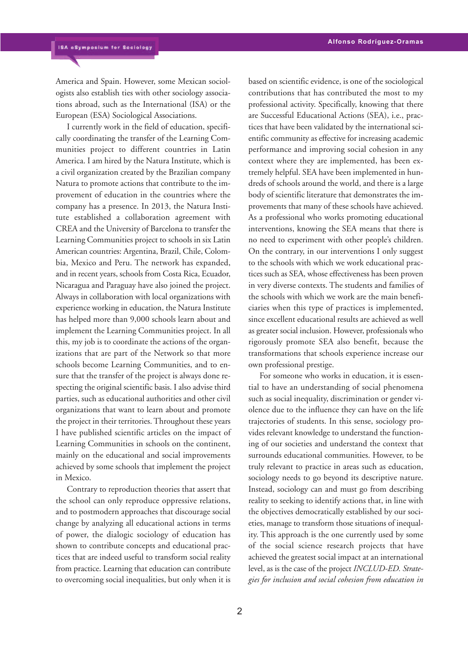America and Spain. However, some Mexican sociologists also establish ties with other sociology associations abroad, such as the International (ISA) or the European (ESA) Sociological Associations.

I currently work in the field of education, specifically coordinating the transfer of the Learning Communities project to different countries in Latin America. I am hired by the Natura Institute, which is a civil organization created by the Brazilian company Natura to promote actions that contribute to the improvement of education in the countries where the company has a presence. In 2013, the Natura Institute established a collaboration agreement with CREA and the University of Barcelona to transfer the Learning Communities project to schools in six Latin American countries: Argentina, Brazil, Chile, Colombia, Mexico and Peru. The network has expanded, and in recent years, schools from Costa Rica, Ecuador, Nicaragua and Paraguay have also joined the project. Always in collaboration with local organizations with experience working in education, the Natura Institute has helped more than 9,000 schools learn about and implement the Learning Communities project. In all this, my job is to coordinate the actions of the organizations that are part of the Network so that more schools become Learning Communities, and to ensure that the transfer of the project is always done respecting the original scientific basis. I also advise third parties, such as educational authorities and other civil organizations that want to learn about and promote the project in their territories.Throughout these years I have published scientific articles on the impact of Learning Communities in schools on the continent, mainly on the educational and social improvements achieved by some schools that implement the project in Mexico.

Contrary to reproduction theories that assert that the school can only reproduce oppressive relations, and to postmodern approaches that discourage social change by analyzing all educational actions in terms of power, the dialogic sociology of education has shown to contribute concepts and educational practices that are indeed useful to transform social reality from practice. Learning that education can contribute to overcoming social inequalities, but only when it is based on scientific evidence, is one of the sociological contributions that has contributed the most to my professional activity. Specifically, knowing that there are Successful Educational Actions (SEA), i.e., practices that have been validated by the international scientific community as effective for increasing academic performance and improving social cohesion in any context where they are implemented, has been extremely helpful. SEA have been implemented in hundreds of schools around the world, and there is a large body of scientific literature that demonstrates the improvements that many of these schools have achieved. As a professional who works promoting educational interventions, knowing the SEA means that there is no need to experiment with other people's children. On the contrary, in our interventions I only suggest to the schools with which we work educational practices such as SEA, whose effectiveness has been proven in very diverse contexts. The students and families of the schools with which we work are the main beneficiaries when this type of practices is implemented, since excellent educational results are achieved as well as greater social inclusion. However, professionals who rigorously promote SEA also benefit, because the transformations that schools experience increase our own professional prestige.

For someone who works in education, it is essential to have an understanding of social phenomena such as social inequality, discrimination or gender violence due to the influence they can have on the life trajectories of students. In this sense, sociology provides relevant knowledge to understand the functioning of our societies and understand the context that surrounds educational communities. However, to be truly relevant to practice in areas such as education, sociology needs to go beyond its descriptive nature. Instead, sociology can and must go from describing reality to seeking to identify actions that, in line with the objectives democratically established by our societies, manage to transform those situations of inequality. This approach is the one currently used by some of the social science research projects that have achieved the greatest social impact at an international level, as is the case of the project *INCLUD-ED. Strategies for inclusion and social cohesion from education in*